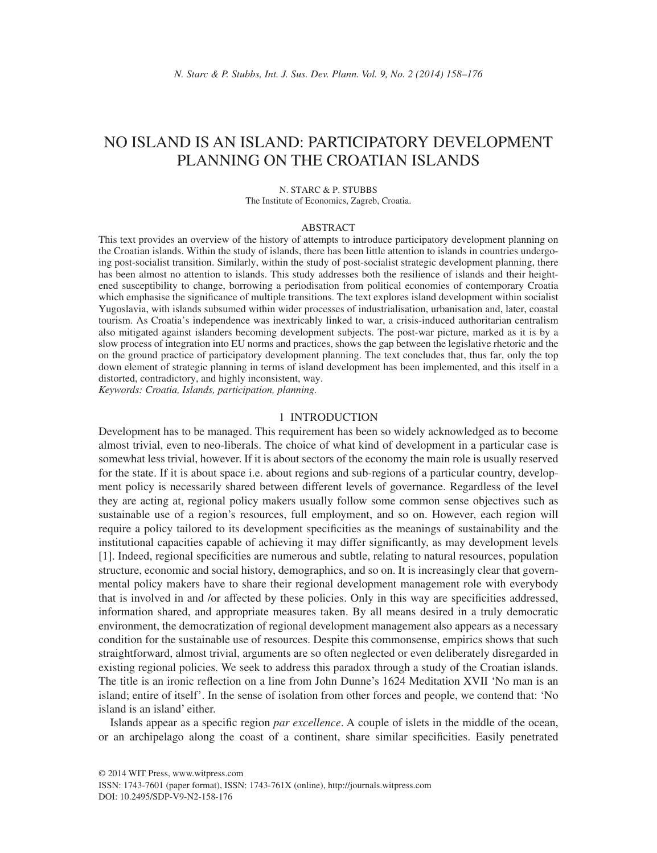# NO ISLAND IS AN ISLAND: PARTICIPATORY DEVELOPMENT PLANNING ON THE CROATIAN ISLANDS

#### N. STARC & P. STUBBS The Institute of Economics, Zagreb, Croatia.

#### ABSTRACT

This text provides an overview of the history of attempts to introduce participatory development planning on the Croatian islands. Within the study of islands, there has been little attention to islands in countries undergoing post-socialist transition. Similarly, within the study of post-socialist strategic development planning, there has been almost no attention to islands. This study addresses both the resilience of islands and their heightened susceptibility to change, borrowing a periodisation from political economies of contemporary Croatia which emphasise the significance of multiple transitions. The text explores island development within socialist Yugoslavia, with islands subsumed within wider processes of industrialisation, urbanisation and, later, coastal tourism. As Croatia's independence was inextricably linked to war, a crisis-induced authoritarian centralism also mitigated against islanders becoming development subjects. The post-war picture, marked as it is by a slow process of integration into EU norms and practices, shows the gap between the legislative rhetoric and the on the ground practice of participatory development planning. The text concludes that, thus far, only the top down element of strategic planning in terms of island development has been implemented, and this itself in a distorted, contradictory, and highly inconsistent, way.

*Keywords: Croatia, Islands, participation, planning.*

#### 1 INTRODUCTION

Development has to be managed. This requirement has been so widely acknowledged as to become almost trivial, even to neo-liberals. The choice of what kind of development in a particular case is somewhat less trivial, however. If it is about sectors of the economy the main role is usually reserved for the state. If it is about space i.e. about regions and sub-regions of a particular country, development policy is necessarily shared between different levels of governance. Regardless of the level they are acting at, regional policy makers usually follow some common sense objectives such as sustainable use of a region's resources, full employment, and so on. However, each region will require a policy tailored to its development specificities as the meanings of sustainability and the institutional capacities capable of achieving it may differ significantly, as may development levels [1]. Indeed, regional specificities are numerous and subtle, relating to natural resources, population structure, economic and social history, demographics, and so on. It is increasingly clear that governmental policy makers have to share their regional development management role with everybody that is involved in and /or affected by these policies. Only in this way are specificities addressed, information shared, and appropriate measures taken. By all means desired in a truly democratic environment, the democratization of regional development management also appears as a necessary condition for the sustainable use of resources. Despite this commonsense, empirics shows that such straightforward, almost trivial, arguments are so often neglected or even deliberately disregarded in existing regional policies. We seek to address this paradox through a study of the Croatian islands. The title is an ironic reflection on a line from John Dunne's 1624 Meditation XVII 'No man is an island; entire of itself'. In the sense of isolation from other forces and people, we contend that: 'No island is an island' either.

Islands appear as a specifi c region *par excellence*. A couple of islets in the middle of the ocean, or an archipelago along the coast of a continent, share similar specificities. Easily penetrated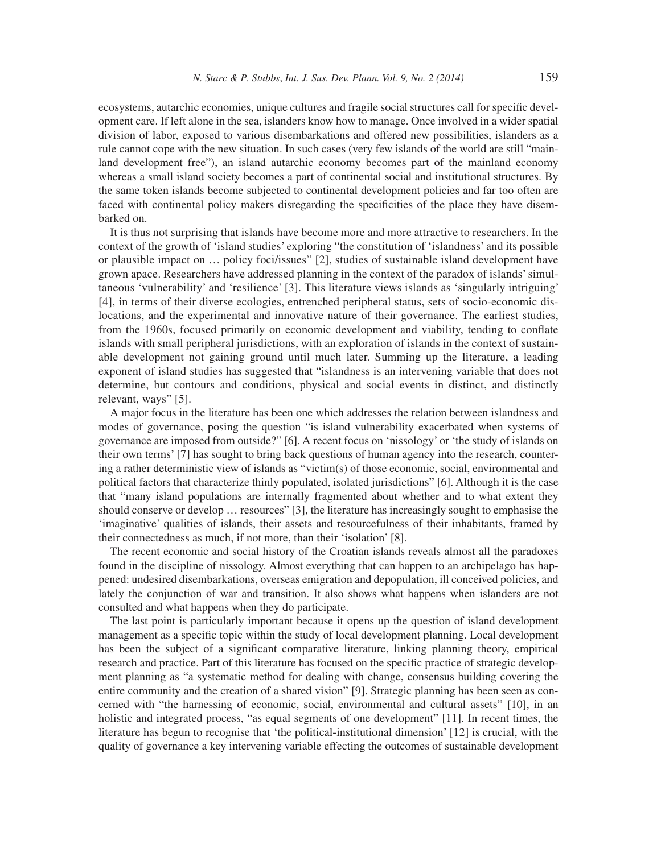ecosystems, autarchic economies, unique cultures and fragile social structures call for specific development care. If left alone in the sea, islanders know how to manage. Once involved in a wider spatial division of labor, exposed to various disembarkations and offered new possibilities, islanders as a rule cannot cope with the new situation. In such cases (very few islands of the world are still "mainland development free"), an island autarchic economy becomes part of the mainland economy whereas a small island society becomes a part of continental social and institutional structures. By the same token islands become subjected to continental development policies and far too often are faced with continental policy makers disregarding the specificities of the place they have disembarked on.

It is thus not surprising that islands have become more and more attractive to researchers. In the context of the growth of 'island studies' exploring "the constitution of 'islandness' and its possible or plausible impact on … policy foci/issues" [2], studies of sustainable island development have grown apace. Researchers have addressed planning in the context of the paradox of islands' simultaneous 'vulnerability' and 'resilience' [3]. This literature views islands as 'singularly intriguing' [4], in terms of their diverse ecologies, entrenched peripheral status, sets of socio-economic dislocations, and the experimental and innovative nature of their governance. The earliest studies, from the 1960s, focused primarily on economic development and viability, tending to conflate islands with small peripheral jurisdictions, with an exploration of islands in the context of sustainable development not gaining ground until much later. Summing up the literature, a leading exponent of island studies has suggested that "islandness is an intervening variable that does not determine, but contours and conditions, physical and social events in distinct, and distinctly relevant, ways" [5].

A major focus in the literature has been one which addresses the relation between islandness and modes of governance, posing the question "is island vulnerability exacerbated when systems of governance are imposed from outside?" [6]. A recent focus on 'nissology' or 'the study of islands on their own terms' [7] has sought to bring back questions of human agency into the research, countering a rather deterministic view of islands as "victim(s) of those economic, social, environmental and political factors that characterize thinly populated, isolated jurisdictions" [6]. Although it is the case that "many island populations are internally fragmented about whether and to what extent they should conserve or develop … resources" [3], the literature has increasingly sought to emphasise the 'imaginative' qualities of islands, their assets and resourcefulness of their inhabitants, framed by their connectedness as much, if not more, than their 'isolation' [8].

The recent economic and social history of the Croatian islands reveals almost all the paradoxes found in the discipline of nissology. Almost everything that can happen to an archipelago has happened: undesired disembarkations, overseas emigration and depopulation, ill conceived policies, and lately the conjunction of war and transition. It also shows what happens when islanders are not consulted and what happens when they do participate.

The last point is particularly important because it opens up the question of island development management as a specific topic within the study of local development planning. Local development has been the subject of a significant comparative literature, linking planning theory, empirical research and practice. Part of this literature has focused on the specific practice of strategic development planning as "a systematic method for dealing with change, consensus building covering the entire community and the creation of a shared vision" [9]. Strategic planning has been seen as concerned with "the harnessing of economic, social, environmental and cultural assets" [10], in an holistic and integrated process, "as equal segments of one development" [11]. In recent times, the literature has begun to recognise that 'the political-institutional dimension' [12] is crucial, with the quality of governance a key intervening variable effecting the outcomes of sustainable development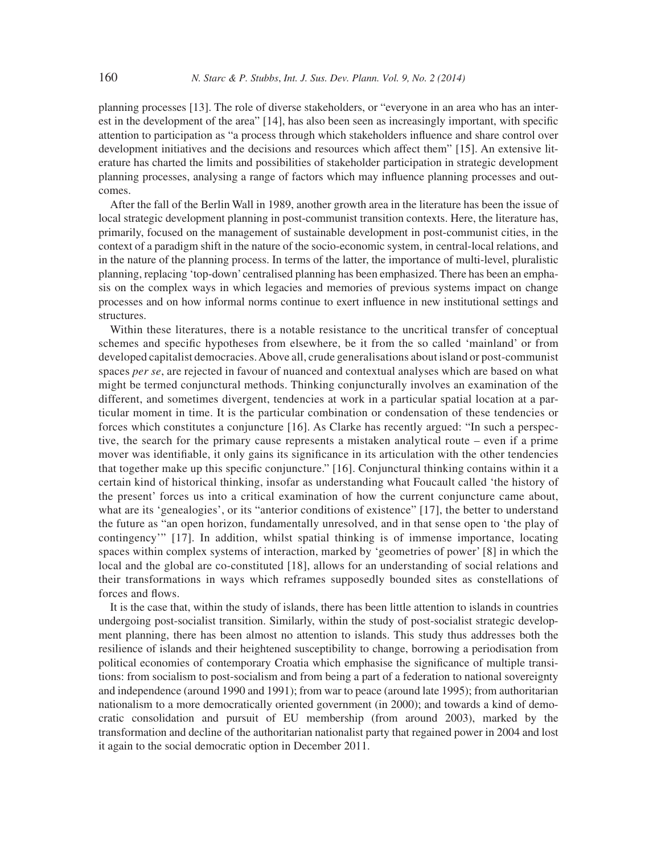planning processes [13]. The role of diverse stakeholders, or "everyone in an area who has an interest in the development of the area"  $[14]$ , has also been seen as increasingly important, with specific attention to participation as "a process through which stakeholders influence and share control over development initiatives and the decisions and resources which affect them" [15]. An extensive literature has charted the limits and possibilities of stakeholder participation in strategic development planning processes, analysing a range of factors which may influence planning processes and outcomes.

After the fall of the Berlin Wall in 1989, another growth area in the literature has been the issue of local strategic development planning in post-communist transition contexts. Here, the literature has, primarily, focused on the management of sustainable development in post-communist cities, in the context of a paradigm shift in the nature of the socio-economic system, in central-local relations, and in the nature of the planning process. In terms of the latter, the importance of multi-level, pluralistic planning, replacing 'top-down' centralised planning has been emphasized. There has been an emphasis on the complex ways in which legacies and memories of previous systems impact on change processes and on how informal norms continue to exert influence in new institutional settings and structures.

Within these literatures, there is a notable resistance to the uncritical transfer of conceptual schemes and specific hypotheses from elsewhere, be it from the so called 'mainland' or from developed capitalist democracies. Above all, crude generalisations about island or post-communist spaces *per se*, are rejected in favour of nuanced and contextual analyses which are based on what might be termed conjunctural methods. Thinking conjuncturally involves an examination of the different, and sometimes divergent, tendencies at work in a particular spatial location at a particular moment in time. It is the particular combination or condensation of these tendencies or forces which constitutes a conjuncture [16]. As Clarke has recently argued: "In such a perspective, the search for the primary cause represents a mistaken analytical route – even if a prime mover was identifiable, it only gains its significance in its articulation with the other tendencies that together make up this specific conjuncture." [16]. Conjunctural thinking contains within it a certain kind of historical thinking, insofar as understanding what Foucault called 'the history of the present' forces us into a critical examination of how the current conjuncture came about, what are its 'genealogies', or its "anterior conditions of existence" [17], the better to understand the future as "an open horizon, fundamentally unresolved, and in that sense open to 'the play of contingency'" [17]. In addition, whilst spatial thinking is of immense importance, locating spaces within complex systems of interaction, marked by 'geometries of power' [8] in which the local and the global are co-constituted [18], allows for an understanding of social relations and their transformations in ways which reframes supposedly bounded sites as constellations of forces and flows.

It is the case that, within the study of islands, there has been little attention to islands in countries undergoing post-socialist transition. Similarly, within the study of post-socialist strategic development planning, there has been almost no attention to islands. This study thus addresses both the resilience of islands and their heightened susceptibility to change, borrowing a periodisation from political economies of contemporary Croatia which emphasise the significance of multiple transitions: from socialism to post-socialism and from being a part of a federation to national sovereignty and independence (around 1990 and 1991); from war to peace (around late 1995); from authoritarian nationalism to a more democratically oriented government (in 2000); and towards a kind of democratic consolidation and pursuit of EU membership (from around 2003), marked by the transformation and decline of the authoritarian nationalist party that regained power in 2004 and lost it again to the social democratic option in December 2011.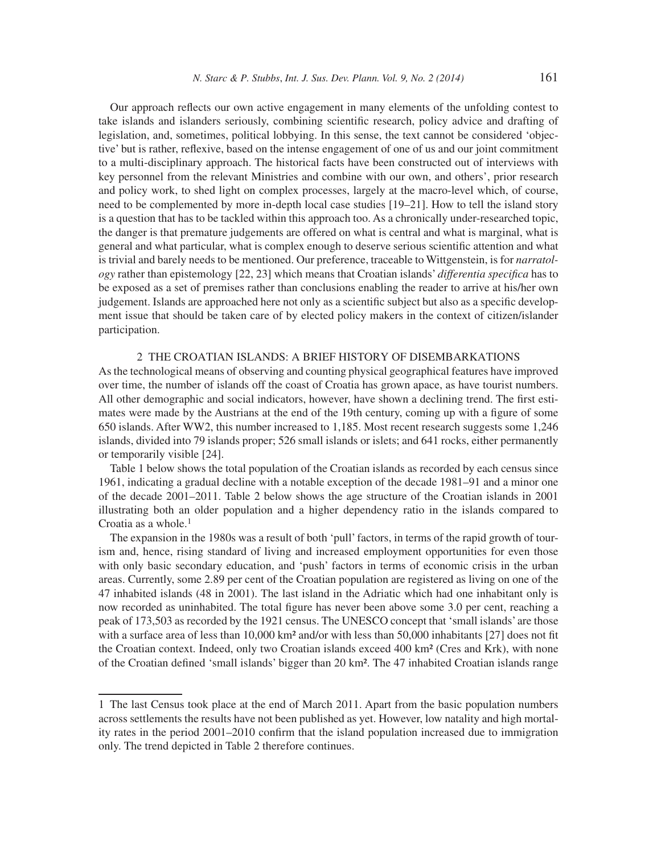Our approach reflects our own active engagement in many elements of the unfolding contest to take islands and islanders seriously, combining scientific research, policy advice and drafting of legislation, and, sometimes, political lobbying. In this sense, the text cannot be considered 'objective' but is rather, reflexive, based on the intense engagement of one of us and our joint commitment to a multi-disciplinary approach. The historical facts have been constructed out of interviews with key personnel from the relevant Ministries and combine with our own, and others', prior research and policy work, to shed light on complex processes, largely at the macro-level which, of course, need to be complemented by more in-depth local case studies [19–21]. How to tell the island story is a question that has to be tackled within this approach too. As a chronically under-researched topic, the danger is that premature judgements are offered on what is central and what is marginal, what is general and what particular, what is complex enough to deserve serious scientific attention and what is trivial and barely needs to be mentioned. Our preference, traceable to Wittgenstein, is for *narratology* rather than epistemology [22, 23] which means that Croatian islands' *differentia specifica* has to be exposed as a set of premises rather than conclusions enabling the reader to arrive at his/her own judgement. Islands are approached here not only as a scientific subject but also as a specific development issue that should be taken care of by elected policy makers in the context of citizen/islander participation.

### 2 THE CROATIAN ISLANDS: A BRIEF HISTORY OF DISEMBARKATIONS

As the technological means of observing and counting physical geographical features have improved over time, the number of islands off the coast of Croatia has grown apace, as have tourist numbers. All other demographic and social indicators, however, have shown a declining trend. The first estimates were made by the Austrians at the end of the 19th century, coming up with a figure of some 650 islands. After WW2, this number increased to 1,185. Most recent research suggests some 1,246 islands, divided into 79 islands proper; 526 small islands or islets; and 641 rocks, either permanently or temporarily visible [24].

Table 1 below shows the total population of the Croatian islands as recorded by each census since 1961, indicating a gradual decline with a notable exception of the decade 1981–91 and a minor one of the decade 2001–2011. Table 2 below shows the age structure of the Croatian islands in 2001 illustrating both an older population and a higher dependency ratio in the islands compared to Croatia as a whole. $<sup>1</sup>$ </sup>

The expansion in the 1980s was a result of both 'pull' factors, in terms of the rapid growth of tourism and, hence, rising standard of living and increased employment opportunities for even those with only basic secondary education, and 'push' factors in terms of economic crisis in the urban areas. Currently, some 2.89 per cent of the Croatian population are registered as living on one of the 47 inhabited islands (48 in 2001). The last island in the Adriatic which had one inhabitant only is now recorded as uninhabited. The total figure has never been above some 3.0 per cent, reaching a peak of 173,503 as recorded by the 1921 census. The UNESCO concept that 'small islands' are those with a surface area of less than 10,000 km<sup>2</sup> and/or with less than 50,000 inhabitants [27] does not fit the Croatian context. Indeed, only two Croatian islands exceed 400 km² (Cres and Krk), with none of the Croatian defined 'small islands' bigger than 20 km². The 47 inhabited Croatian islands range

<sup>1</sup> The last Census took place at the end of March 2011. Apart from the basic population numbers across settlements the results have not been published as yet. However, low natality and high mortality rates in the period 2001–2010 confirm that the island population increased due to immigration only. The trend depicted in Table 2 therefore continues.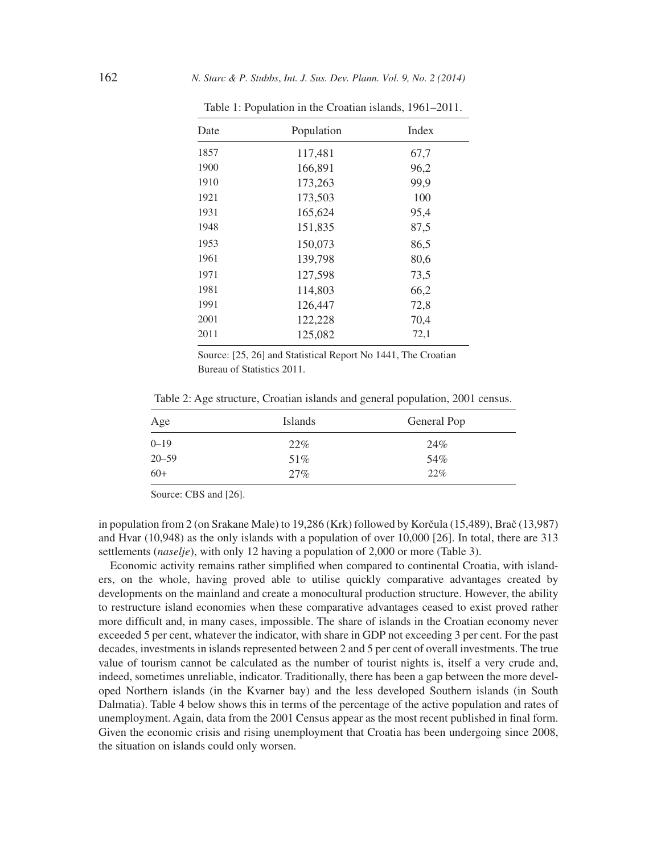| Date | Population | Index |
|------|------------|-------|
| 1857 | 117,481    | 67,7  |
| 1900 | 166,891    | 96,2  |
| 1910 | 173,263    | 99,9  |
| 1921 | 173,503    | 100   |
| 1931 | 165,624    | 95,4  |
| 1948 | 151,835    | 87,5  |
| 1953 | 150,073    | 86,5  |
| 1961 | 139,798    | 80,6  |
| 1971 | 127,598    | 73,5  |
| 1981 | 114,803    | 66,2  |
| 1991 | 126,447    | 72,8  |
| 2001 | 122,228    | 70,4  |
| 2011 | 125,082    | 72,1  |

Table 1: Population in the Croatian islands, 1961–2011.

Source: [25, 26] and Statistical Report No 1441, The Croatian Bureau of Statistics 2011.

Table 2: Age structure, Croatian islands and general population, 2001 census.

| Age       | Islands | General Pop |
|-----------|---------|-------------|
| $0 - 19$  | 22%     | 24%         |
| $20 - 59$ | 51%     | 54%         |
| $60+$     | 27%     | 22%         |

Source: CBS and [26].

in population from 2 (on Srakane Male) to 19,286 (Krk) followed by Korčula (15,489), Brač (13,987) and Hvar (10,948) as the only islands with a population of over 10,000 [26]. In total, there are 313 settlements (*naselje*), with only 12 having a population of 2,000 or more (Table 3).

Economic activity remains rather simplified when compared to continental Croatia, with islanders, on the whole, having proved able to utilise quickly comparative advantages created by developments on the mainland and create a monocultural production structure. However, the ability to restructure island economies when these comparative advantages ceased to exist proved rather more difficult and, in many cases, impossible. The share of islands in the Croatian economy never exceeded 5 per cent, whatever the indicator, with share in GDP not exceeding 3 per cent. For the past decades, investments in islands represented between 2 and 5 per cent of overall investments. The true value of tourism cannot be calculated as the number of tourist nights is, itself a very crude and, indeed, sometimes unreliable, indicator. Traditionally, there has been a gap between the more developed Northern islands (in the Kvarner bay) and the less developed Southern islands (in South Dalmatia). Table 4 below shows this in terms of the percentage of the active population and rates of unemployment. Again, data from the 2001 Census appear as the most recent published in final form. Given the economic crisis and rising unemployment that Croatia has been undergoing since 2008, the situation on islands could only worsen.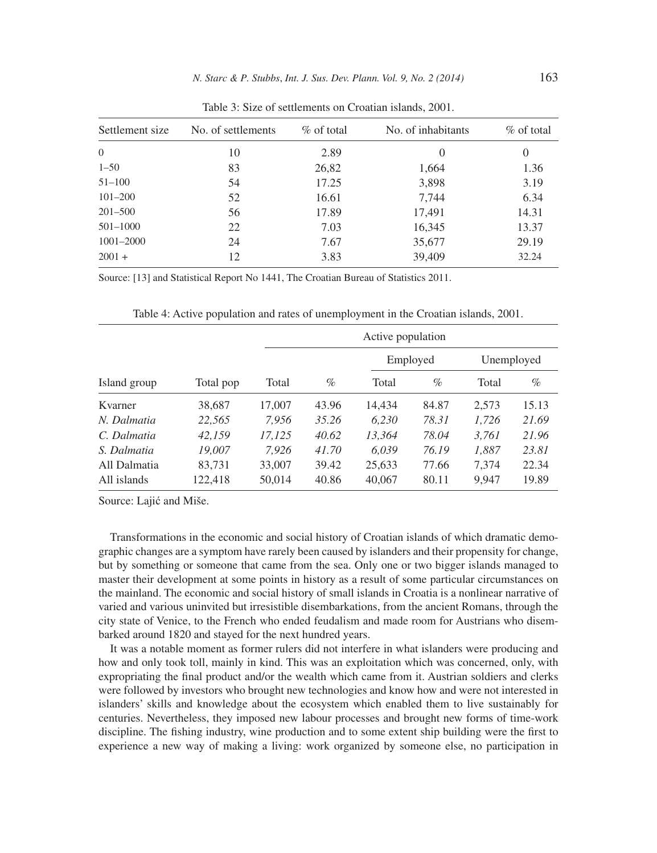| Settlement size | No. of settlements | $\%$ of total | No. of inhabitants | $\%$ of total |
|-----------------|--------------------|---------------|--------------------|---------------|
| $\theta$        | 10                 | 2.89          | $\theta$           | $\theta$      |
| $1 - 50$        | 83                 | 26,82         | 1,664              | 1.36          |
| $51 - 100$      | 54                 | 17.25         | 3,898              | 3.19          |
| $101 - 200$     | 52                 | 16.61         | 7,744              | 6.34          |
| $201 - 500$     | 56                 | 17.89         | 17,491             | 14.31         |
| $501 - 1000$    | 22                 | 7.03          | 16,345             | 13.37         |
| 1001-2000       | 24                 | 7.67          | 35,677             | 29.19         |
| $2001 +$        | 12                 | 3.83          | 39,409             | 32.24         |

Table 3: Size of settlements on Croatian islands, 2001.

Source: [13] and Statistical Report No 1441, The Croatian Bureau of Statistics 2011.

|              |           |        | Active population |        |          |       |            |  |
|--------------|-----------|--------|-------------------|--------|----------|-------|------------|--|
|              |           |        |                   |        | Employed |       | Unemployed |  |
| Island group | Total pop | Total  | $\%$              | Total  | $\%$     | Total | $\%$       |  |
| Kvarner      | 38,687    | 17,007 | 43.96             | 14,434 | 84.87    | 2,573 | 15.13      |  |
| N. Dalmatia  | 22,565    | 7,956  | 35.26             | 6,230  | 78.31    | 1,726 | 21.69      |  |
| C. Dalmatia  | 42.159    | 17,125 | 40.62             | 13,364 | 78.04    | 3,761 | 21.96      |  |
| S. Dalmatia  | 19.007    | 7.926  | 41.70             | 6.039  | 76.19    | 1,887 | 23.81      |  |
| All Dalmatia | 83,731    | 33,007 | 39.42             | 25,633 | 77.66    | 7,374 | 22.34      |  |
| All islands  | 122,418   | 50,014 | 40.86             | 40,067 | 80.11    | 9,947 | 19.89      |  |

Table 4: Active population and rates of unemployment in the Croatian islands, 2001.

Source: Lajić and Miše.

Transformations in the economic and social history of Croatian islands of which dramatic demographic changes are a symptom have rarely been caused by islanders and their propensity for change, but by something or someone that came from the sea. Only one or two bigger islands managed to master their development at some points in history as a result of some particular circumstances on the mainland. The economic and social history of small islands in Croatia is a nonlinear narrative of varied and various uninvited but irresistible disembarkations, from the ancient Romans, through the city state of Venice, to the French who ended feudalism and made room for Austrians who disembarked around 1820 and stayed for the next hundred years.

It was a notable moment as former rulers did not interfere in what islanders were producing and how and only took toll, mainly in kind. This was an exploitation which was concerned, only, with expropriating the final product and/or the wealth which came from it. Austrian soldiers and clerks were followed by investors who brought new technologies and know how and were not interested in islanders' skills and knowledge about the ecosystem which enabled them to live sustainably for centuries. Nevertheless, they imposed new labour processes and brought new forms of time-work discipline. The fishing industry, wine production and to some extent ship building were the first to experience a new way of making a living: work organized by someone else, no participation in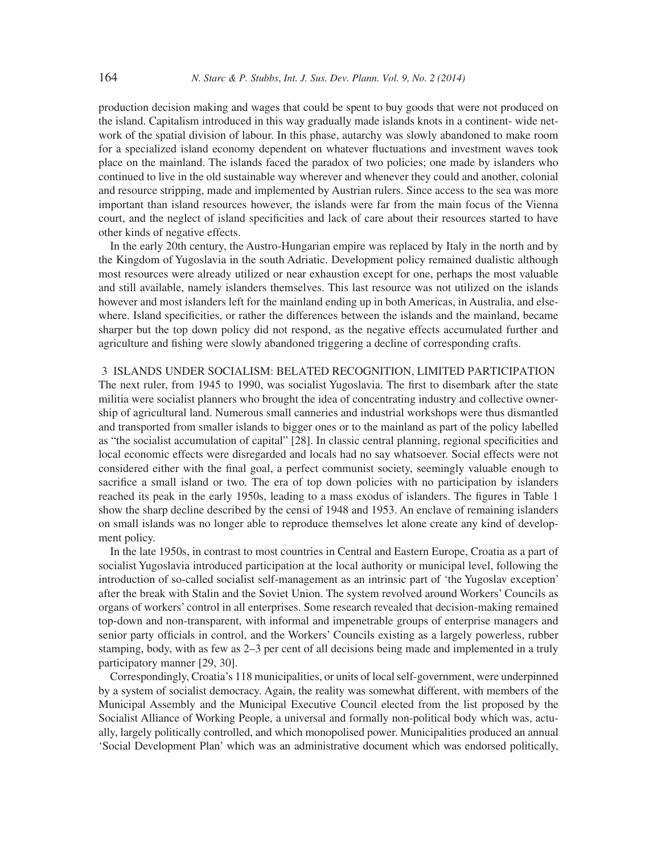production decision making and wages that could be spent to buy goods that were not produced on the island. Capitalism introduced in this way gradually made islands knots in a continent- wide network of the spatial division of labour. In this phase, autarchy was slowly abandoned to make room for a specialized island economy dependent on whatever fluctuations and investment waves took place on the mainland. The islands faced the paradox of two policies; one made by islanders who continued to live in the old sustainable way wherever and whenever they could and another, colonial and resource stripping, made and implemented by Austrian rulers. Since access to the sea was more important than island resources however, the islands were far from the main focus of the Vienna court, and the neglect of island specificities and lack of care about their resources started to have other kinds of negative effects.

In the early 20th century, the Austro-Hungarian empire was replaced by Italy in the north and by the Kingdom of Yugoslavia in the south Adriatic. Development policy remained dualistic although most resources were already utilized or near exhaustion except for one, perhaps the most valuable and still available, namely islanders themselves. This last resource was not utilized on the islands however and most islanders left for the mainland ending up in both Americas, in Australia, and elsewhere. Island specificities, or rather the differences between the islands and the mainland, became sharper but the top down policy did not respond, as the negative effects accumulated further and agriculture and fishing were slowly abandoned triggering a decline of corresponding crafts.

### 3 ISLANDS UNDER SOCIALISM: BELATED RECOGNITION, LIMITED PARTICIPATION

The next ruler, from 1945 to 1990, was socialist Yugoslavia. The first to disembark after the state militia were socialist planners who brought the idea of concentrating industry and collective ownership of agricultural land. Numerous small canneries and industrial workshops were thus dismantled and transported from smaller islands to bigger ones or to the mainland as part of the policy labelled as "the socialist accumulation of capital" [28]. In classic central planning, regional specificities and local economic effects were disregarded and locals had no say whatsoever. Social effects were not considered either with the final goal, a perfect communist society, seemingly valuable enough to sacrifice a small island or two. The era of top down policies with no participation by islanders reached its peak in the early 1950s, leading to a mass exodus of islanders. The figures in Table 1 show the sharp decline described by the censi of 1948 and 1953. An enclave of remaining islanders on small islands was no longer able to reproduce themselves let alone create any kind of development policy.

In the late 1950s, in contrast to most countries in Central and Eastern Europe, Croatia as a part of socialist Yugoslavia introduced participation at the local authority or municipal level, following the introduction of so-called socialist self-management as an intrinsic part of 'the Yugoslav exception' after the break with Stalin and the Soviet Union. The system revolved around Workers' Councils as organs of workers' control in all enterprises. Some research revealed that decision-making remained top-down and non-transparent, with informal and impenetrable groups of enterprise managers and senior party officials in control, and the Workers' Councils existing as a largely powerless, rubber stamping, body, with as few as 2–3 per cent of all decisions being made and implemented in a truly participatory manner [29, 30].

Correspondingly, Croatia's 118 municipalities, or units of local self-government, were underpinned by a system of socialist democracy. Again, the reality was somewhat different, with members of the Municipal Assembly and the Municipal Executive Council elected from the list proposed by the Socialist Alliance of Working People, a universal and formally non-political body which was, actually, largely politically controlled, and which monopolised power. Municipalities produced an annual 'Social Development Plan' which was an administrative document which was endorsed politically,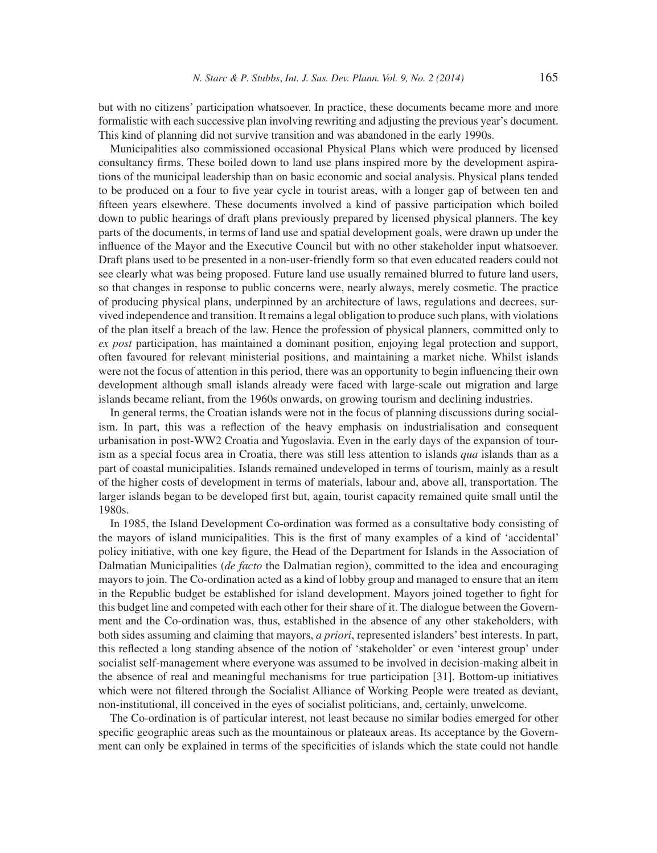but with no citizens' participation whatsoever. In practice, these documents became more and more formalistic with each successive plan involving rewriting and adjusting the previous year's document. This kind of planning did not survive transition and was abandoned in the early 1990s.

Municipalities also commissioned occasional Physical Plans which were produced by licensed consultancy firms. These boiled down to land use plans inspired more by the development aspirations of the municipal leadership than on basic economic and social analysis. Physical plans tended to be produced on a four to five year cycle in tourist areas, with a longer gap of between ten and fifteen years elsewhere. These documents involved a kind of passive participation which boiled down to public hearings of draft plans previously prepared by licensed physical planners. The key parts of the documents, in terms of land use and spatial development goals, were drawn up under the influence of the Mayor and the Executive Council but with no other stakeholder input whatsoever. Draft plans used to be presented in a non-user-friendly form so that even educated readers could not see clearly what was being proposed. Future land use usually remained blurred to future land users, so that changes in response to public concerns were, nearly always, merely cosmetic. The practice of producing physical plans, underpinned by an architecture of laws, regulations and decrees, survived independence and transition. It remains a legal obligation to produce such plans, with violations of the plan itself a breach of the law. Hence the profession of physical planners, committed only to *ex post* participation, has maintained a dominant position, enjoying legal protection and support, often favoured for relevant ministerial positions, and maintaining a market niche. Whilst islands were not the focus of attention in this period, there was an opportunity to begin influencing their own development although small islands already were faced with large-scale out migration and large islands became reliant, from the 1960s onwards, on growing tourism and declining industries.

In general terms, the Croatian islands were not in the focus of planning discussions during socialism. In part, this was a reflection of the heavy emphasis on industrialisation and consequent urbanisation in post-WW2 Croatia and Yugoslavia. Even in the early days of the expansion of tourism as a special focus area in Croatia, there was still less attention to islands *qua* islands than as a part of coastal municipalities. Islands remained undeveloped in terms of tourism, mainly as a result of the higher costs of development in terms of materials, labour and, above all, transportation. The larger islands began to be developed first but, again, tourist capacity remained quite small until the 1980s.

In 1985, the Island Development Co-ordination was formed as a consultative body consisting of the mayors of island municipalities. This is the first of many examples of a kind of 'accidental' policy initiative, with one key figure, the Head of the Department for Islands in the Association of Dalmatian Municipalities (*de facto* the Dalmatian region), committed to the idea and encouraging mayors to join. The Co-ordination acted as a kind of lobby group and managed to ensure that an item in the Republic budget be established for island development. Mayors joined together to fight for this budget line and competed with each other for their share of it. The dialogue between the Government and the Co-ordination was, thus, established in the absence of any other stakeholders, with both sides assuming and claiming that mayors, *a priori*, represented islanders' best interests. In part, this reflected a long standing absence of the notion of 'stakeholder' or even 'interest group' under socialist self-management where everyone was assumed to be involved in decision-making albeit in the absence of real and meaningful mechanisms for true participation [31]. Bottom-up initiatives which were not filtered through the Socialist Alliance of Working People were treated as deviant, non-institutional, ill conceived in the eyes of socialist politicians, and, certainly, unwelcome.

The Co-ordination is of particular interest, not least because no similar bodies emerged for other specific geographic areas such as the mountainous or plateaux areas. Its acceptance by the Government can only be explained in terms of the specificities of islands which the state could not handle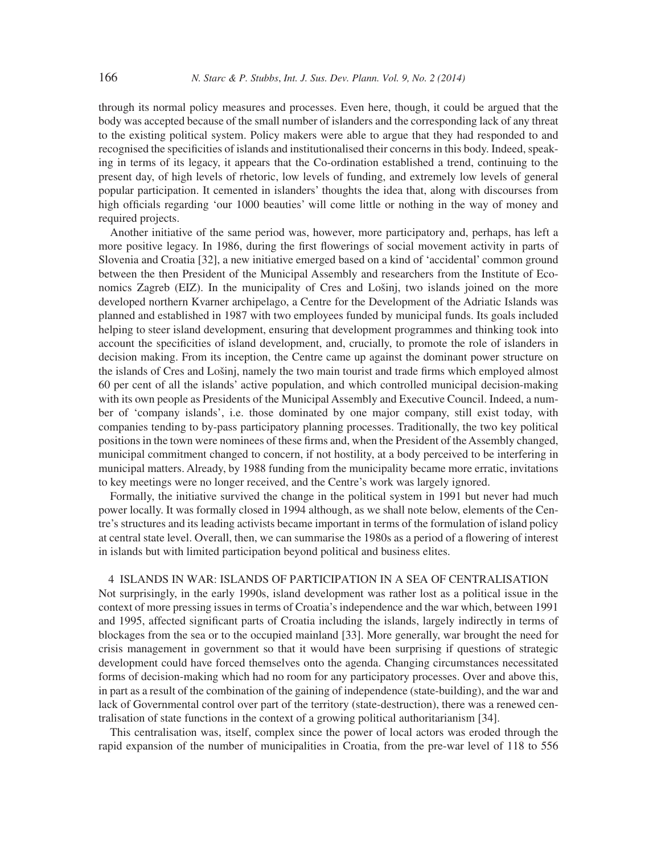through its normal policy measures and processes. Even here, though, it could be argued that the body was accepted because of the small number of islanders and the corresponding lack of any threat to the existing political system. Policy makers were able to argue that they had responded to and recognised the specificities of islands and institutionalised their concerns in this body. Indeed, speaking in terms of its legacy, it appears that the Co-ordination established a trend, continuing to the present day, of high levels of rhetoric, low levels of funding, and extremely low levels of general popular participation. It cemented in islanders' thoughts the idea that, along with discourses from high officials regarding 'our 1000 beauties' will come little or nothing in the way of money and required projects.

Another initiative of the same period was, however, more participatory and, perhaps, has left a more positive legacy. In 1986, during the first flowerings of social movement activity in parts of Slovenia and Croatia [32], a new initiative emerged based on a kind of 'accidental' common ground between the then President of the Municipal Assembly and researchers from the Institute of Economics Zagreb (EIZ). In the municipality of Cres and Lošinj, two islands joined on the more developed northern Kvarner archipelago, a Centre for the Development of the Adriatic Islands was planned and established in 1987 with two employees funded by municipal funds. Its goals included helping to steer island development, ensuring that development programmes and thinking took into account the specificities of island development, and, crucially, to promote the role of islanders in decision making. From its inception, the Centre came up against the dominant power structure on the islands of Cres and Lošinj, namely the two main tourist and trade firms which employed almost 60 per cent of all the islands' active population, and which controlled municipal decision-making with its own people as Presidents of the Municipal Assembly and Executive Council. Indeed, a number of 'company islands', i.e. those dominated by one major company, still exist today, with companies tending to by-pass participatory planning processes. Traditionally, the two key political positions in the town were nominees of these firms and, when the President of the Assembly changed, municipal commitment changed to concern, if not hostility, at a body perceived to be interfering in municipal matters. Already, by 1988 funding from the municipality became more erratic, invitations to key meetings were no longer received, and the Centre's work was largely ignored.

Formally, the initiative survived the change in the political system in 1991 but never had much power locally. It was formally closed in 1994 although, as we shall note below, elements of the Centre's structures and its leading activists became important in terms of the formulation of island policy at central state level. Overall, then, we can summarise the 1980s as a period of a flowering of interest in islands but with limited participation beyond political and business elites.

# 4 ISLANDS IN WAR: ISLANDS OF PARTICIPATION IN A SEA OF CENTRALISATION

Not surprisingly, in the early 1990s, island development was rather lost as a political issue in the context of more pressing issues in terms of Croatia's independence and the war which, between 1991 and 1995, affected significant parts of Croatia including the islands, largely indirectly in terms of blockages from the sea or to the occupied mainland [33]. More generally, war brought the need for crisis management in government so that it would have been surprising if questions of strategic development could have forced themselves onto the agenda. Changing circumstances necessitated forms of decision-making which had no room for any participatory processes. Over and above this, in part as a result of the combination of the gaining of independence (state-building), and the war and lack of Governmental control over part of the territory (state-destruction), there was a renewed centralisation of state functions in the context of a growing political authoritarianism [34].

This centralisation was, itself, complex since the power of local actors was eroded through the rapid expansion of the number of municipalities in Croatia, from the pre-war level of 118 to 556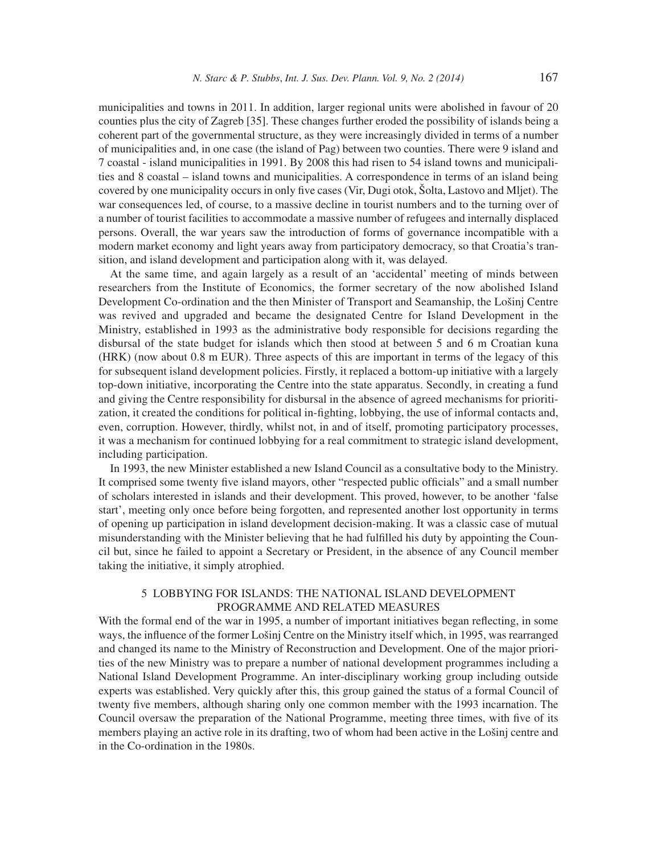municipalities and towns in 2011. In addition, larger regional units were abolished in favour of 20 counties plus the city of Zagreb [35]. These changes further eroded the possibility of islands being a coherent part of the governmental structure, as they were increasingly divided in terms of a number of municipalities and, in one case (the island of Pag) between two counties. There were 9 island and 7 coastal - island municipalities in 1991. By 2008 this had risen to 54 island towns and municipalities and 8 coastal – island towns and municipalities. A correspondence in terms of an island being covered by one municipality occurs in only five cases (Vir, Dugi otok, Šolta, Lastovo and Mljet). The war consequences led, of course, to a massive decline in tourist numbers and to the turning over of a number of tourist facilities to accommodate a massive number of refugees and internally displaced persons. Overall, the war years saw the introduction of forms of governance incompatible with a modern market economy and light years away from participatory democracy, so that Croatia's transition, and island development and participation along with it, was delayed.

At the same time, and again largely as a result of an 'accidental' meeting of minds between researchers from the Institute of Economics, the former secretary of the now abolished Island Development Co-ordination and the then Minister of Transport and Seamanship, the Lošinj Centre was revived and upgraded and became the designated Centre for Island Development in the Ministry, established in 1993 as the administrative body responsible for decisions regarding the disbursal of the state budget for islands which then stood at between 5 and 6 m Croatian kuna (HRK) (now about 0.8 m EUR). Three aspects of this are important in terms of the legacy of this for subsequent island development policies. Firstly, it replaced a bottom-up initiative with a largely top-down initiative, incorporating the Centre into the state apparatus. Secondly, in creating a fund and giving the Centre responsibility for disbursal in the absence of agreed mechanisms for prioritization, it created the conditions for political in-fighting, lobbying, the use of informal contacts and, even, corruption. However, thirdly, whilst not, in and of itself, promoting participatory processes, it was a mechanism for continued lobbying for a real commitment to strategic island development, including participation.

In 1993, the new Minister established a new Island Council as a consultative body to the Ministry. It comprised some twenty five island mayors, other "respected public officials" and a small number of scholars interested in islands and their development. This proved, however, to be another 'false start', meeting only once before being forgotten, and represented another lost opportunity in terms of opening up participation in island development decision-making. It was a classic case of mutual misunderstanding with the Minister believing that he had fulfilled his duty by appointing the Council but, since he failed to appoint a Secretary or President, in the absence of any Council member taking the initiative, it simply atrophied.

### 5 LOBBYING FOR ISLANDS: THE NATIONAL ISLAND DEVELOPMENT PROGRAMME AND RELATED MEASURES

With the formal end of the war in 1995, a number of important initiatives began reflecting, in some ways, the influence of the former Lošinj Centre on the Ministry itself which, in 1995, was rearranged and changed its name to the Ministry of Reconstruction and Development. One of the major priorities of the new Ministry was to prepare a number of national development programmes including a National Island Development Programme. An inter-disciplinary working group including outside experts was established. Very quickly after this, this group gained the status of a formal Council of twenty five members, although sharing only one common member with the 1993 incarnation. The Council oversaw the preparation of the National Programme, meeting three times, with five of its members playing an active role in its drafting, two of whom had been active in the Lošinj centre and in the Co-ordination in the 1980s.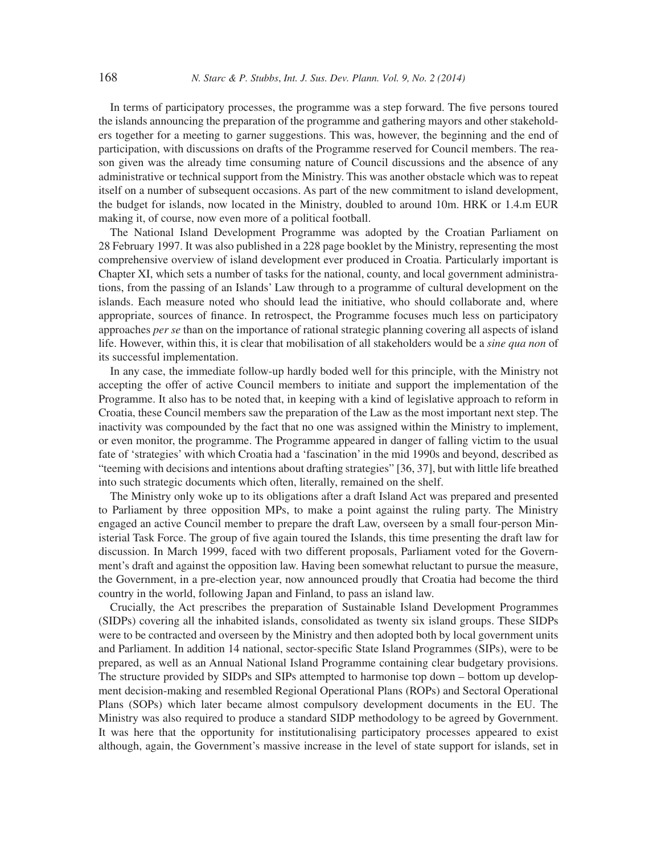In terms of participatory processes, the programme was a step forward. The five persons toured the islands announcing the preparation of the programme and gathering mayors and other stakeholders together for a meeting to garner suggestions. This was, however, the beginning and the end of participation, with discussions on drafts of the Programme reserved for Council members. The reason given was the already time consuming nature of Council discussions and the absence of any administrative or technical support from the Ministry. This was another obstacle which was to repeat itself on a number of subsequent occasions. As part of the new commitment to island development, the budget for islands, now located in the Ministry, doubled to around 10m. HRK or 1.4.m EUR making it, of course, now even more of a political football.

The National Island Development Programme was adopted by the Croatian Parliament on 28 February 1997. It was also published in a 228 page booklet by the Ministry, representing the most comprehensive overview of island development ever produced in Croatia. Particularly important is Chapter XI, which sets a number of tasks for the national, county, and local government administrations, from the passing of an Islands' Law through to a programme of cultural development on the islands. Each measure noted who should lead the initiative, who should collaborate and, where appropriate, sources of finance. In retrospect, the Programme focuses much less on participatory approaches *per se* than on the importance of rational strategic planning covering all aspects of island life. However, within this, it is clear that mobilisation of all stakeholders would be a *sine qua non* of its successful implementation.

In any case, the immediate follow-up hardly boded well for this principle, with the Ministry not accepting the offer of active Council members to initiate and support the implementation of the Programme. It also has to be noted that, in keeping with a kind of legislative approach to reform in Croatia, these Council members saw the preparation of the Law as the most important next step. The inactivity was compounded by the fact that no one was assigned within the Ministry to implement, or even monitor, the programme. The Programme appeared in danger of falling victim to the usual fate of 'strategies' with which Croatia had a 'fascination' in the mid 1990s and beyond, described as "teeming with decisions and intentions about drafting strategies" [36, 37], but with little life breathed into such strategic documents which often, literally, remained on the shelf.

The Ministry only woke up to its obligations after a draft Island Act was prepared and presented to Parliament by three opposition MPs, to make a point against the ruling party. The Ministry engaged an active Council member to prepare the draft Law, overseen by a small four-person Ministerial Task Force. The group of five again toured the Islands, this time presenting the draft law for discussion. In March 1999, faced with two different proposals, Parliament voted for the Government's draft and against the opposition law. Having been somewhat reluctant to pursue the measure, the Government, in a pre-election year, now announced proudly that Croatia had become the third country in the world, following Japan and Finland, to pass an island law.

Crucially, the Act prescribes the preparation of Sustainable Island Development Programmes (SIDPs) covering all the inhabited islands, consolidated as twenty six island groups. These SIDPs were to be contracted and overseen by the Ministry and then adopted both by local government units and Parliament. In addition 14 national, sector-specific State Island Programmes (SIPs), were to be prepared, as well as an Annual National Island Programme containing clear budgetary provisions. The structure provided by SIDPs and SIPs attempted to harmonise top down – bottom up development decision-making and resembled Regional Operational Plans (ROPs) and Sectoral Operational Plans (SOPs) which later became almost compulsory development documents in the EU. The Ministry was also required to produce a standard SIDP methodology to be agreed by Government. It was here that the opportunity for institutionalising participatory processes appeared to exist although, again, the Government's massive increase in the level of state support for islands, set in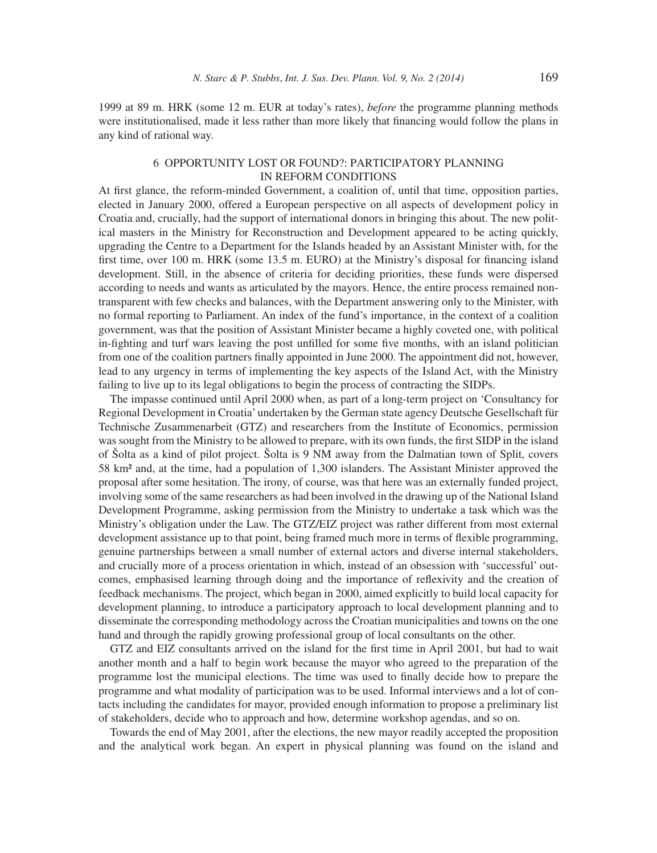1999 at 89 m. HRK (some 12 m. EUR at today's rates), *before* the programme planning methods were institutionalised, made it less rather than more likely that financing would follow the plans in any kind of rational way.

# 6 OPPORTUNITY LOST OR FOUND?: PARTICIPATORY PLANNING IN REFORM CONDITIONS

At first glance, the reform-minded Government, a coalition of, until that time, opposition parties, elected in January 2000, offered a European perspective on all aspects of development policy in Croatia and, crucially, had the support of international donors in bringing this about. The new political masters in the Ministry for Reconstruction and Development appeared to be acting quickly, upgrading the Centre to a Department for the Islands headed by an Assistant Minister with, for the first time, over 100 m. HRK (some 13.5 m. EURO) at the Ministry's disposal for financing island development. Still, in the absence of criteria for deciding priorities, these funds were dispersed according to needs and wants as articulated by the mayors. Hence, the entire process remained nontransparent with few checks and balances, with the Department answering only to the Minister, with no formal reporting to Parliament. An index of the fund's importance, in the context of a coalition government, was that the position of Assistant Minister became a highly coveted one, with political in-fighting and turf wars leaving the post unfilled for some five months, with an island politician from one of the coalition partners finally appointed in June 2000. The appointment did not, however, lead to any urgency in terms of implementing the key aspects of the Island Act, with the Ministry failing to live up to its legal obligations to begin the process of contracting the SIDPs.

The impasse continued until April 2000 when, as part of a long-term project on 'Consultancy for Regional Development in Croatia' undertaken by the German state agency Deutsche Gesellschaft für Technische Zusammenarbeit (GTZ) and researchers from the Institute of Economics, permission was sought from the Ministry to be allowed to prepare, with its own funds, the first SIDP in the island of Šolta as a kind of pilot project. Šolta is 9 NM away from the Dalmatian town of Split, covers 58 km² and, at the time, had a population of 1,300 islanders. The Assistant Minister approved the proposal after some hesitation. The irony, of course, was that here was an externally funded project, involving some of the same researchers as had been involved in the drawing up of the National Island Development Programme, asking permission from the Ministry to undertake a task which was the Ministry's obligation under the Law. The GTZ/EIZ project was rather different from most external development assistance up to that point, being framed much more in terms of flexible programming, genuine partnerships between a small number of external actors and diverse internal stakeholders, and crucially more of a process orientation in which, instead of an obsession with 'successful' outcomes, emphasised learning through doing and the importance of reflexivity and the creation of feedback mechanisms. The project, which began in 2000, aimed explicitly to build local capacity for development planning, to introduce a participatory approach to local development planning and to disseminate the corresponding methodology across the Croatian municipalities and towns on the one hand and through the rapidly growing professional group of local consultants on the other.

GTZ and EIZ consultants arrived on the island for the first time in April 2001, but had to wait another month and a half to begin work because the mayor who agreed to the preparation of the programme lost the municipal elections. The time was used to finally decide how to prepare the programme and what modality of participation was to be used. Informal interviews and a lot of contacts including the candidates for mayor, provided enough information to propose a preliminary list of stakeholders, decide who to approach and how, determine workshop agendas, and so on.

Towards the end of May 2001, after the elections, the new mayor readily accepted the proposition and the analytical work began. An expert in physical planning was found on the island and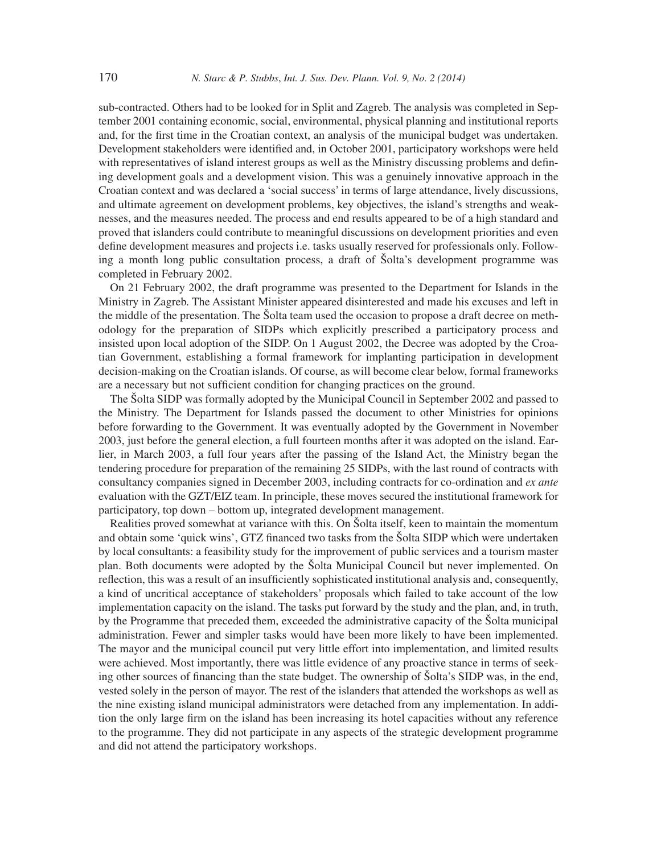sub-contracted. Others had to be looked for in Split and Zagreb. The analysis was completed in September 2001 containing economic, social, environmental, physical planning and institutional reports and, for the first time in the Croatian context, an analysis of the municipal budget was undertaken. Development stakeholders were identified and, in October 2001, participatory workshops were held with representatives of island interest groups as well as the Ministry discussing problems and defining development goals and a development vision. This was a genuinely innovative approach in the Croatian context and was declared a 'social success' in terms of large attendance, lively discussions, and ultimate agreement on development problems, key objectives, the island's strengths and weaknesses, and the measures needed. The process and end results appeared to be of a high standard and proved that islanders could contribute to meaningful discussions on development priorities and even define development measures and projects i.e. tasks usually reserved for professionals only. Following a month long public consultation process, a draft of Šolta's development programme was completed in February 2002.

On 21 February 2002, the draft programme was presented to the Department for Islands in the Ministry in Zagreb. The Assistant Minister appeared disinterested and made his excuses and left in the middle of the presentation. The Šolta team used the occasion to propose a draft decree on methodology for the preparation of SIDPs which explicitly prescribed a participatory process and insisted upon local adoption of the SIDP. On 1 August 2002, the Decree was adopted by the Croatian Government, establishing a formal framework for implanting participation in development decision-making on the Croatian islands. Of course, as will become clear below, formal frameworks are a necessary but not sufficient condition for changing practices on the ground.

The Šolta SIDP was formally adopted by the Municipal Council in September 2002 and passed to the Ministry. The Department for Islands passed the document to other Ministries for opinions before forwarding to the Government. It was eventually adopted by the Government in November 2003, just before the general election, a full fourteen months after it was adopted on the island. Earlier, in March 2003, a full four years after the passing of the Island Act, the Ministry began the tendering procedure for preparation of the remaining 25 SIDPs, with the last round of contracts with consultancy companies signed in December 2003, including contracts for co-ordination and *ex ante* evaluation with the GZT/EIZ team. In principle, these moves secured the institutional framework for participatory, top down – bottom up, integrated development management.

Realities proved somewhat at variance with this. On Šolta itself, keen to maintain the momentum and obtain some 'quick wins', GTZ financed two tasks from the Šolta SIDP which were undertaken by local consultants: a feasibility study for the improvement of public services and a tourism master plan. Both documents were adopted by the Šolta Municipal Council but never implemented. On reflection, this was a result of an insufficiently sophisticated institutional analysis and, consequently, a kind of uncritical acceptance of stakeholders' proposals which failed to take account of the low implementation capacity on the island. The tasks put forward by the study and the plan, and, in truth, by the Programme that preceded them, exceeded the administrative capacity of the Šolta municipal administration. Fewer and simpler tasks would have been more likely to have been implemented. The mayor and the municipal council put very little effort into implementation, and limited results were achieved. Most importantly, there was little evidence of any proactive stance in terms of seeking other sources of financing than the state budget. The ownership of Solta's SIDP was, in the end, vested solely in the person of mayor. The rest of the islanders that attended the workshops as well as the nine existing island municipal administrators were detached from any implementation. In addition the only large firm on the island has been increasing its hotel capacities without any reference to the programme. They did not participate in any aspects of the strategic development programme and did not attend the participatory workshops.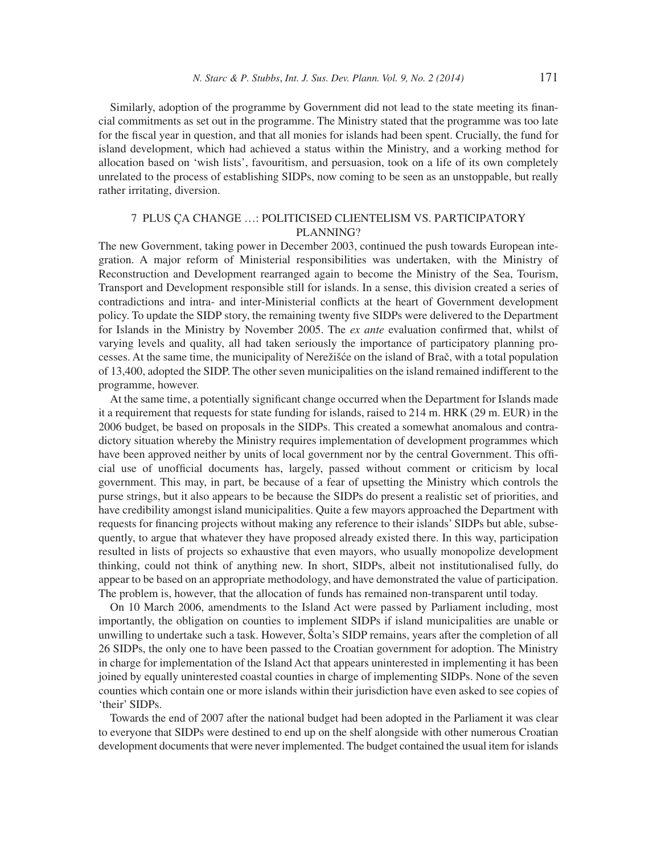Similarly, adoption of the programme by Government did not lead to the state meeting its financial commitments as set out in the programme. The Ministry stated that the programme was too late for the fiscal year in question, and that all monies for islands had been spent. Crucially, the fund for island development, which had achieved a status within the Ministry, and a working method for allocation based on 'wish lists', favouritism, and persuasion, took on a life of its own completely unrelated to the process of establishing SIDPs, now coming to be seen as an unstoppable, but really rather irritating, diversion.

## 7 PLUS ÇA CHANGE …: POLITICISED CLIENTELISM VS. PARTICIPATORY PLANNING?

The new Government, taking power in December 2003, continued the push towards European integration. A major reform of Ministerial responsibilities was undertaken, with the Ministry of Reconstruction and Development rearranged again to become the Ministry of the Sea, Tourism, Transport and Development responsible still for islands. In a sense, this division created a series of contradictions and intra- and inter-Ministerial conflicts at the heart of Government development policy. To update the SIDP story, the remaining twenty five SIDPs were delivered to the Department for Islands in the Ministry by November 2005. The *ex ante* evaluation confirmed that, whilst of varying levels and quality, all had taken seriously the importance of participatory planning processes. At the same time, the municipality of Nerežišće on the island of Brač, with a total population of 13,400, adopted the SIDP. The other seven municipalities on the island remained indifferent to the programme, however.

At the same time, a potentially significant change occurred when the Department for Islands made it a requirement that requests for state funding for islands, raised to 214 m. HRK (29 m. EUR) in the 2006 budget, be based on proposals in the SIDPs. This created a somewhat anomalous and contradictory situation whereby the Ministry requires implementation of development programmes which have been approved neither by units of local government nor by the central Government. This official use of unofficial documents has, largely, passed without comment or criticism by local government. This may, in part, be because of a fear of upsetting the Ministry which controls the purse strings, but it also appears to be because the SIDPs do present a realistic set of priorities, and have credibility amongst island municipalities. Quite a few mayors approached the Department with requests for financing projects without making any reference to their islands' SIDPs but able, subsequently, to argue that whatever they have proposed already existed there. In this way, participation resulted in lists of projects so exhaustive that even mayors, who usually monopolize development thinking, could not think of anything new. In short, SIDPs, albeit not institutionalised fully, do appear to be based on an appropriate methodology, and have demonstrated the value of participation. The problem is, however, that the allocation of funds has remained non-transparent until today.

On 10 March 2006, amendments to the Island Act were passed by Parliament including, most importantly, the obligation on counties to implement SIDPs if island municipalities are unable or unwilling to undertake such a task. However, Šolta's SIDP remains, years after the completion of all 26 SIDPs, the only one to have been passed to the Croatian government for adoption. The Ministry in charge for implementation of the Island Act that appears uninterested in implementing it has been joined by equally uninterested coastal counties in charge of implementing SIDPs. None of the seven counties which contain one or more islands within their jurisdiction have even asked to see copies of 'their' SIDPs.

Towards the end of 2007 after the national budget had been adopted in the Parliament it was clear to everyone that SIDPs were destined to end up on the shelf alongside with other numerous Croatian development documents that were never implemented. The budget contained the usual item for islands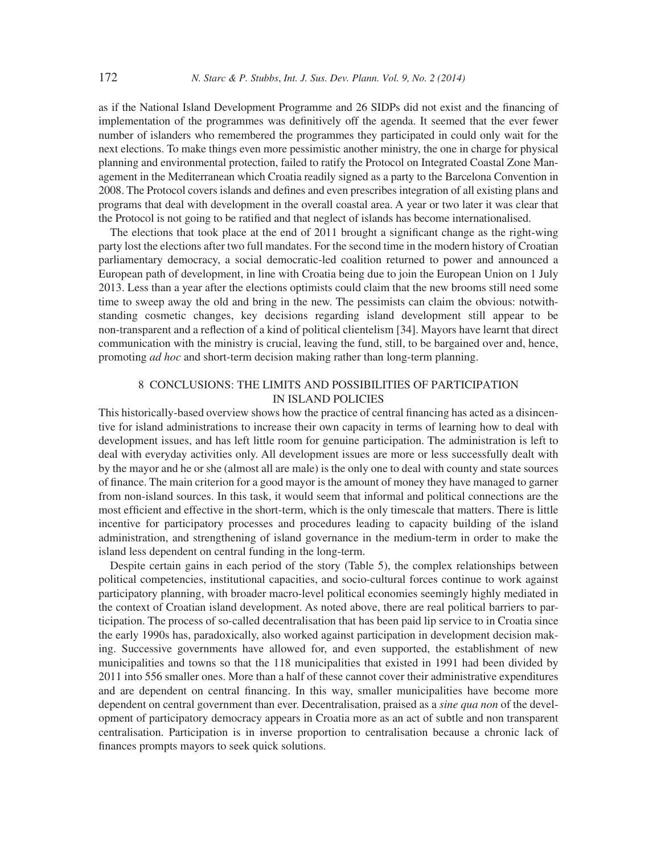as if the National Island Development Programme and 26 SIDPs did not exist and the financing of implementation of the programmes was definitively off the agenda. It seemed that the ever fewer number of islanders who remembered the programmes they participated in could only wait for the next elections. To make things even more pessimistic another ministry, the one in charge for physical planning and environmental protection, failed to ratify the Protocol on Integrated Coastal Zone Management in the Mediterranean which Croatia readily signed as a party to the Barcelona Convention in 2008. The Protocol covers islands and defines and even prescribes integration of all existing plans and programs that deal with development in the overall coastal area. A year or two later it was clear that the Protocol is not going to be ratified and that neglect of islands has become internationalised.

The elections that took place at the end of 2011 brought a significant change as the right-wing party lost the elections after two full mandates. For the second time in the modern history of Croatian parliamentary democracy, a social democratic-led coalition returned to power and announced a European path of development, in line with Croatia being due to join the European Union on 1 July 2013. Less than a year after the elections optimists could claim that the new brooms still need some time to sweep away the old and bring in the new. The pessimists can claim the obvious: notwithstanding cosmetic changes, key decisions regarding island development still appear to be non-transparent and a reflection of a kind of political clientelism [34]. Mayors have learnt that direct communication with the ministry is crucial, leaving the fund, still, to be bargained over and, hence, promoting *ad hoc* and short-term decision making rather than long-term planning.

### 8 CONCLUSIONS: THE LIMITS AND POSSIBILITIES OF PARTICIPATION IN ISLAND POLICIES

This historically-based overview shows how the practice of central financing has acted as a disincentive for island administrations to increase their own capacity in terms of learning how to deal with development issues, and has left little room for genuine participation. The administration is left to deal with everyday activities only. All development issues are more or less successfully dealt with by the mayor and he or she (almost all are male) is the only one to deal with county and state sources of finance. The main criterion for a good mayor is the amount of money they have managed to garner from non-island sources. In this task, it would seem that informal and political connections are the most efficient and effective in the short-term, which is the only timescale that matters. There is little incentive for participatory processes and procedures leading to capacity building of the island administration, and strengthening of island governance in the medium-term in order to make the island less dependent on central funding in the long-term.

Despite certain gains in each period of the story (Table 5), the complex relationships between political competencies, institutional capacities, and socio-cultural forces continue to work against participatory planning, with broader macro-level political economies seemingly highly mediated in the context of Croatian island development. As noted above, there are real political barriers to participation. The process of so-called decentralisation that has been paid lip service to in Croatia since the early 1990s has, paradoxically, also worked against participation in development decision making. Successive governments have allowed for, and even supported, the establishment of new municipalities and towns so that the 118 municipalities that existed in 1991 had been divided by 2011 into 556 smaller ones. More than a half of these cannot cover their administrative expenditures and are dependent on central financing. In this way, smaller municipalities have become more dependent on central government than ever. Decentralisation, praised as a *sine qua non* of the development of participatory democracy appears in Croatia more as an act of subtle and non transparent centralisation. Participation is in inverse proportion to centralisation because a chronic lack of finances prompts mayors to seek quick solutions.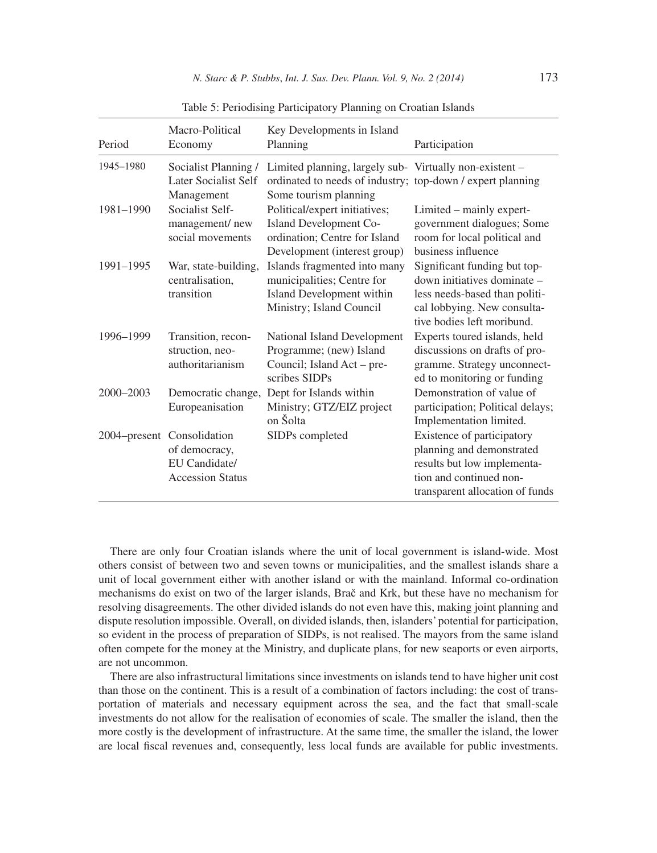| Period    | Macro-Political<br>Economy                                                              | Key Developments in Island<br>Planning                                                                                                         | Participation                                                                                                                                             |
|-----------|-----------------------------------------------------------------------------------------|------------------------------------------------------------------------------------------------------------------------------------------------|-----------------------------------------------------------------------------------------------------------------------------------------------------------|
| 1945-1980 | Socialist Planning /<br>Later Socialist Self<br>Management                              | Limited planning, largely sub- Virtually non-existent -<br>ordinated to needs of industry; top-down / expert planning<br>Some tourism planning |                                                                                                                                                           |
| 1981-1990 | Socialist Self-<br>management/new<br>social movements                                   | Political/expert initiatives;<br><b>Island Development Co-</b><br>ordination: Centre for Island<br>Development (interest group)                | Limited – mainly expert-<br>government dialogues; Some<br>room for local political and<br>business influence                                              |
| 1991-1995 | War, state-building,<br>centralisation,<br>transition                                   | Islands fragmented into many<br>municipalities; Centre for<br>Island Development within<br>Ministry; Island Council                            | Significant funding but top-<br>down initiatives dominate –<br>less needs-based than politi-<br>cal lobbying. New consulta-<br>tive bodies left moribund. |
| 1996-1999 | Transition, recon-<br>struction, neo-<br>authoritarianism                               | National Island Development<br>Programme; (new) Island<br>Council; Island Act – pre-<br>scribes SIDPs                                          | Experts toured islands, held<br>discussions on drafts of pro-<br>gramme. Strategy unconnect-<br>ed to monitoring or funding                               |
| 2000-2003 | Democratic change,<br>Europeanisation                                                   | Dept for Islands within<br>Ministry; GTZ/EIZ project<br>on Šolta                                                                               | Demonstration of value of<br>participation; Political delays;<br>Implementation limited.                                                                  |
|           | 2004-present Consolidation<br>of democracy,<br>EU Candidate/<br><b>Accession Status</b> | SIDPs completed                                                                                                                                | Existence of participatory<br>planning and demonstrated<br>results but low implementa-<br>tion and continued non-<br>transparent allocation of funds      |

Table 5: Periodising Participatory Planning on Croatian Islands

There are only four Croatian islands where the unit of local government is island-wide. Most others consist of between two and seven towns or municipalities, and the smallest islands share a unit of local government either with another island or with the mainland. Informal co-ordination mechanisms do exist on two of the larger islands, Brač and Krk, but these have no mechanism for resolving disagreements. The other divided islands do not even have this, making joint planning and dispute resolution impossible. Overall, on divided islands, then, islanders' potential for participation, so evident in the process of preparation of SIDPs, is not realised. The mayors from the same island often compete for the money at the Ministry, and duplicate plans, for new seaports or even airports, are not uncommon.

There are also infrastructural limitations since investments on islands tend to have higher unit cost than those on the continent. This is a result of a combination of factors including: the cost of transportation of materials and necessary equipment across the sea, and the fact that small-scale investments do not allow for the realisation of economies of scale. The smaller the island, then the more costly is the development of infrastructure. At the same time, the smaller the island, the lower are local fiscal revenues and, consequently, less local funds are available for public investments.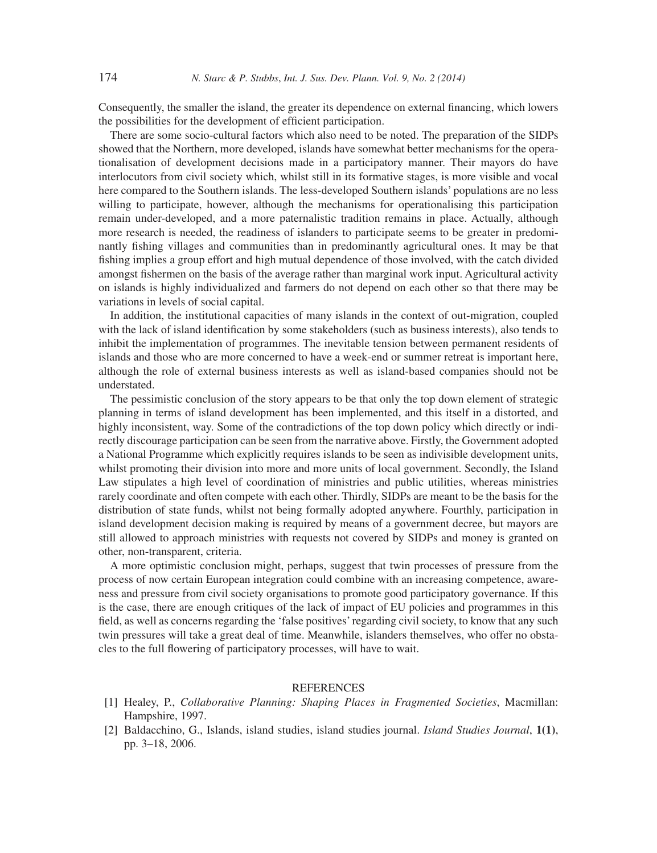Consequently, the smaller the island, the greater its dependence on external financing, which lowers the possibilities for the development of efficient participation.

There are some socio-cultural factors which also need to be noted. The preparation of the SIDPs showed that the Northern, more developed, islands have somewhat better mechanisms for the operationalisation of development decisions made in a participatory manner. Their mayors do have interlocutors from civil society which, whilst still in its formative stages, is more visible and vocal here compared to the Southern islands. The less-developed Southern islands' populations are no less willing to participate, however, although the mechanisms for operationalising this participation remain under-developed, and a more paternalistic tradition remains in place. Actually, although more research is needed, the readiness of islanders to participate seems to be greater in predominantly fishing villages and communities than in predominantly agricultural ones. It may be that fishing implies a group effort and high mutual dependence of those involved, with the catch divided amongst fishermen on the basis of the average rather than marginal work input. Agricultural activity on islands is highly individualized and farmers do not depend on each other so that there may be variations in levels of social capital.

In addition, the institutional capacities of many islands in the context of out-migration, coupled with the lack of island identification by some stakeholders (such as business interests), also tends to inhibit the implementation of programmes. The inevitable tension between permanent residents of islands and those who are more concerned to have a week-end or summer retreat is important here, although the role of external business interests as well as island-based companies should not be understated.

The pessimistic conclusion of the story appears to be that only the top down element of strategic planning in terms of island development has been implemented, and this itself in a distorted, and highly inconsistent, way. Some of the contradictions of the top down policy which directly or indirectly discourage participation can be seen from the narrative above. Firstly, the Government adopted a National Programme which explicitly requires islands to be seen as indivisible development units, whilst promoting their division into more and more units of local government. Secondly, the Island Law stipulates a high level of coordination of ministries and public utilities, whereas ministries rarely coordinate and often compete with each other. Thirdly, SIDPs are meant to be the basis for the distribution of state funds, whilst not being formally adopted anywhere. Fourthly, participation in island development decision making is required by means of a government decree, but mayors are still allowed to approach ministries with requests not covered by SIDPs and money is granted on other, non-transparent, criteria.

A more optimistic conclusion might, perhaps, suggest that twin processes of pressure from the process of now certain European integration could combine with an increasing competence, awareness and pressure from civil society organisations to promote good participatory governance. If this is the case, there are enough critiques of the lack of impact of EU policies and programmes in this field, as well as concerns regarding the 'false positives' regarding civil society, to know that any such twin pressures will take a great deal of time. Meanwhile, islanders themselves, who offer no obstacles to the full flowering of participatory processes, will have to wait.

### **REFERENCES**

- [1] Healey, P., *Collaborative Planning: Shaping Places in Fragmented Societies*, Macmillan: Hampshire, 1997.
- [2] Baldacchino, G., Islands, island studies, island studies journal. *Island Studies Journal*, **1(1)**, pp. 3–18, 2006.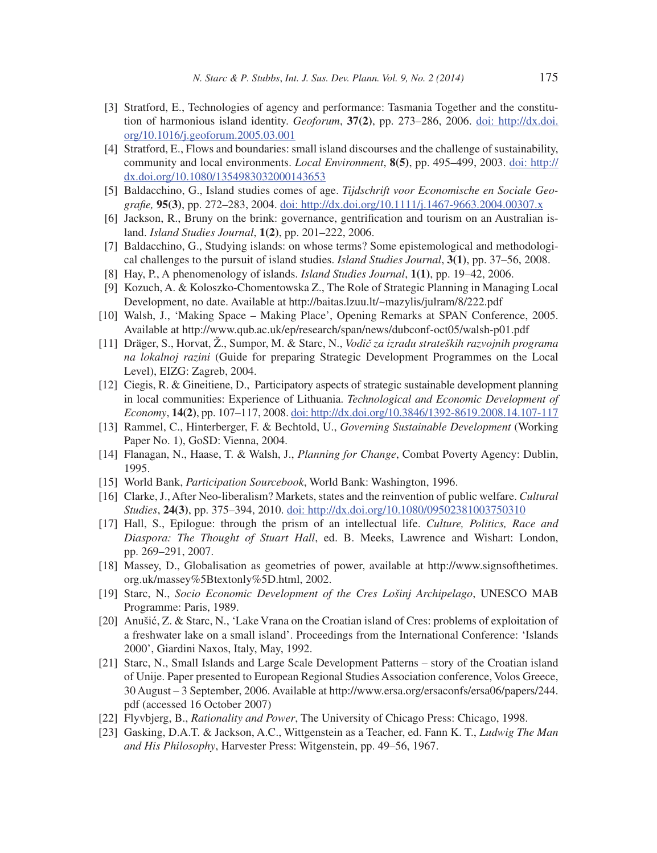- [3] Stratford, E., Technologies of agency and performance: Tasmania Together and the constitution of harmonious island identity. *Geoforum*, **37(2)**, pp. 273–286, 2006. doi: http://dx.doi. org/10.1016/j.geoforum.2005.03.001
- [4] Stratford, E., Flows and boundaries: small island discourses and the challenge of sustainability, community and local environments. *Local Environment*, **8(5)**, pp. 495–499, 2003. doi: http:// dx.doi.org/10.1080/1354983032000143653
- [5] Baldacchino, G., Island studies comes of age. *Tijdschrift voor Economische en Sociale Geografie*, **95(3)**, pp. 272–283, 2004. doi: http://dx.doi.org/10.1111/j.1467-9663.2004.00307.x
- [6] Jackson, R., Bruny on the brink: governance, gentrification and tourism on an Australian island. *Island Studies Journal*, **1(2)**, pp. 201–222, 2006.
- [7] Baldacchino, G., Studying islands: on whose terms? Some epistemological and methodological challenges to the pursuit of island studies. *Island Studies Journal*, **3(1)**, pp. 37–56, 2008.
- [8] Hay, P., A phenomenology of islands. *Island Studies Journal*, **1(1)**, pp. 19–42, 2006.
- [9] Kozuch, A. & Koloszko-Chomentowska Z., The Role of Strategic Planning in Managing Local Development, no date. Available at http://baitas.lzuu.lt/~mazylis/julram/8/222.pdf
- [10] Walsh, J., 'Making Space Making Place', Opening Remarks at SPAN Conference, 2005. Available at http://www.qub.ac.uk/ep/research/span/news/dubconf-oct05/walsh-p01.pdf
- [11] Dräger, S., Horvat, Ž., Sumpor, M. & Starc, N., *Vodič za izradu strateških razvojnih programa na lokalnoj razini* (Guide for preparing Strategic Development Programmes on the Local Level), EIZG: Zagreb, 2004.
- [12] Ciegis, R. & Gineitiene, D., Participatory aspects of strategic sustainable development planning in local communities: Experience of Lithuania. *Technological and Economic Development of Economy*, **14(2)**, pp. 107–117, 2008. doi: http://dx.doi.org/10.3846/1392-8619.2008.14.107-117
- [13] Rammel, C., Hinterberger, F. & Bechtold, U., *Governing Sustainable Development* (Working Paper No. 1), GoSD: Vienna, 2004.
- [14] Flanagan, N., Haase, T. & Walsh, J., *Planning for Change*, Combat Poverty Agency: Dublin, 1995.
- [15] World Bank, *Participation Sourcebook*, World Bank: Washington, 1996.
- [16] Clarke, J., After Neo-liberalism? Markets, states and the reinvention of public welfare. *Cultural Studies*, **24(3)**, pp. 375–394, 2010. doi: http://dx.doi.org/10.1080/09502381003750310
- [17] Hall, S., Epilogue: through the prism of an intellectual life. *Culture, Politics, Race and Diaspora: The Thought of Stuart Hall*, ed. B. Meeks, Lawrence and Wishart: London, pp. 269–291, 2007.
- [18] Massey, D., Globalisation as geometries of power, available at http://www.signsofthetimes. org.uk/massey%5Btextonly%5D.html, 2002.
- [19] Starc, N., *Socio Economic Development of the Cres Lošinj Archipelago*, UNESCO MAB Programme: Paris, 1989.
- [20] Anušić, Z. & Starc, N., 'Lake Vrana on the Croatian island of Cres: problems of exploitation of a freshwater lake on a small island'. Proceedings from the International Conference: 'Islands 2000', Giardini Naxos, Italy, May, 1992.
- [21] Starc, N., Small Islands and Large Scale Development Patterns story of the Croatian island of Unije. Paper presented to European Regional Studies Association conference, Volos Greece, 30 August – 3 September, 2006. Available at http://www.ersa.org/ersaconfs/ersa06/papers/244. pdf (accessed 16 October 2007)
- [22] Flyvbjerg, B., *Rationality and Power*, The University of Chicago Press: Chicago, 1998.
- [23] Gasking, D.A.T. & Jackson, A.C., Wittgenstein as a Teacher, ed. Fann K. T., *Ludwig The Man and His Philosophy*, Harvester Press: Witgenstein, pp. 49–56, 1967.